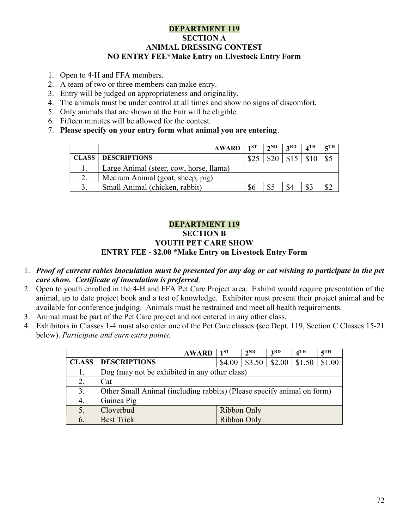## DEPARTMENT 119 SECTION A ANIMAL DRESSING CONTEST NO ENTRY FEE\*Make Entry on Livestock Entry Form

- 1. Open to 4-H and FFA members.
- 2. A team of two or three members can make entry.
- 3. Entry will be judged on appropriateness and originality.
- 4. The animals must be under control at all times and show no signs of discomfort.
- 5. Only animals that are shown at the Fair will be eligible.
- 6. Fifteen minutes will be allowed for the contest.
- 7. Please specify on your entry form what animal you are entering.

| <b>AWARD</b>                            | 1ST | $2^{\rm ND}$ | 2RD  | $\boldsymbol{A}^{\mathrm{TH}}$ | $\sqrt{\phantom{a}}$ |
|-----------------------------------------|-----|--------------|------|--------------------------------|----------------------|
| <b>CLASS   DESCRIPTIONS</b>             |     | \$20         | \$15 |                                |                      |
| Large Animal (steer, cow, horse, llama) |     |              |      |                                |                      |
| Medium Animal (goat, sheep, pig)        |     |              |      |                                |                      |
| Small Animal (chicken, rabbit)          | \$6 |              |      |                                |                      |

## DEPARTMENT 119 SECTION B YOUTH PET CARE SHOW ENTRY FEE - \$2.00 \*Make Entry on Livestock Entry Form

- 1. Proof of current rabies inoculation must be presented for any dog or cat wishing to participate in the pet care show. Certificate of inoculation is preferred.
- 2. Open to youth enrolled in the 4-H and FFA Pet Care Project area. Exhibit would require presentation of the animal, up to date project book and a test of knowledge. Exhibitor must present their project animal and be available for conference judging. Animals must be restrained and meet all health requirements.
- 3. Animal must be part of the Pet Care project and not entered in any other class.
- 4. Exhibitors in Classes 1-4 must also enter one of the Pet Care classes (see Dept. 119, Section C Classes 15-21 below). Participate and earn extra points.

|              | <b>AWARD</b>                                                           | $1^{ST}$    | 2 <sub>ND</sub> | 3 <sup>RD</sup> | $4^{\text{TH}}$ | $5$ TH |  |  |
|--------------|------------------------------------------------------------------------|-------------|-----------------|-----------------|-----------------|--------|--|--|
| <b>CLASS</b> | <b>DESCRIPTIONS</b>                                                    | \$4.00      | \$3.50          | \$2.00          | \$1.50          | \$1.00 |  |  |
| 1.           | Dog (may not be exhibited in any other class)                          |             |                 |                 |                 |        |  |  |
| 2.           | Cat                                                                    |             |                 |                 |                 |        |  |  |
| 3.           | Other Small Animal (including rabbits) (Please specify animal on form) |             |                 |                 |                 |        |  |  |
| 4.           | Guinea Pig                                                             |             |                 |                 |                 |        |  |  |
|              | Cloverbud                                                              | Ribbon Only |                 |                 |                 |        |  |  |
| 6.           | <b>Best Trick</b>                                                      | Ribbon Only |                 |                 |                 |        |  |  |